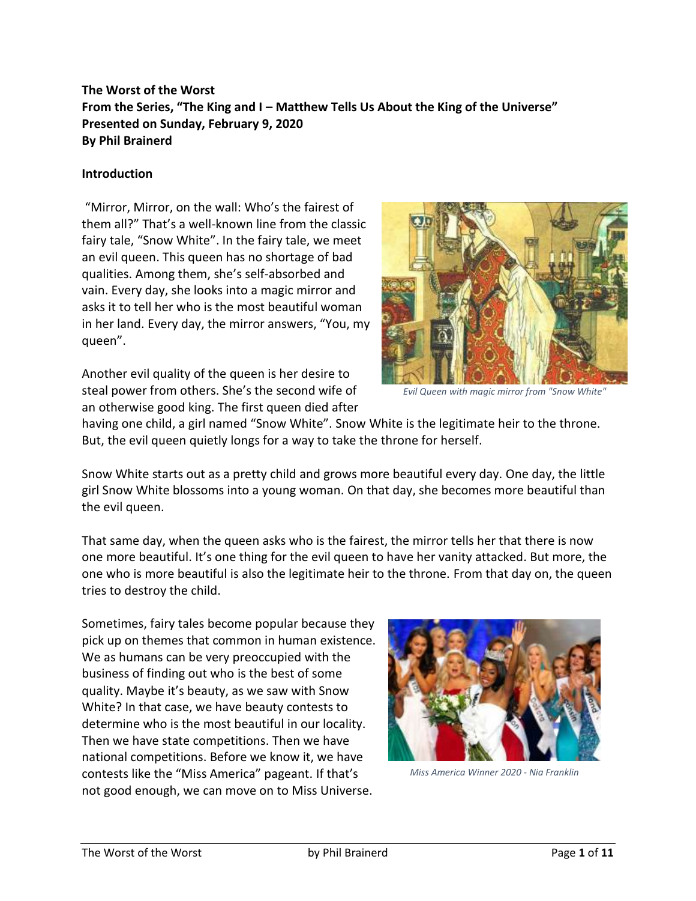# **The Worst of the Worst From the Series, "The King and I – Matthew Tells Us About the King of the Universe" Presented on Sunday, February 9, 2020 By Phil Brainerd**

#### **Introduction**

"Mirror, Mirror, on the wall: Who's the fairest of them all?" That's a well-known line from the classic fairy tale, "Snow White". In the fairy tale, we meet an evil queen. This queen has no shortage of bad qualities. Among them, she's self-absorbed and vain. Every day, she looks into a magic mirror and asks it to tell her who is the most beautiful woman in her land. Every day, the mirror answers, "You, my queen".

Another evil quality of the queen is her desire to steal power from others. She's the second wife of an otherwise good king. The first queen died after



*Evil Queen with magic mirror from "Snow White"*

having one child, a girl named "Snow White". Snow White is the legitimate heir to the throne. But, the evil queen quietly longs for a way to take the throne for herself.

Snow White starts out as a pretty child and grows more beautiful every day. One day, the little girl Snow White blossoms into a young woman. On that day, she becomes more beautiful than the evil queen.

That same day, when the queen asks who is the fairest, the mirror tells her that there is now one more beautiful. It's one thing for the evil queen to have her vanity attacked. But more, the one who is more beautiful is also the legitimate heir to the throne. From that day on, the queen tries to destroy the child.

Sometimes, fairy tales become popular because they pick up on themes that common in human existence. We as humans can be very preoccupied with the business of finding out who is the best of some quality. Maybe it's beauty, as we saw with Snow White? In that case, we have beauty contests to determine who is the most beautiful in our locality. Then we have state competitions. Then we have national competitions. Before we know it, we have contests like the "Miss America" pageant. If that's not good enough, we can move on to Miss Universe.



*Miss America Winner 2020 - Nia Franklin*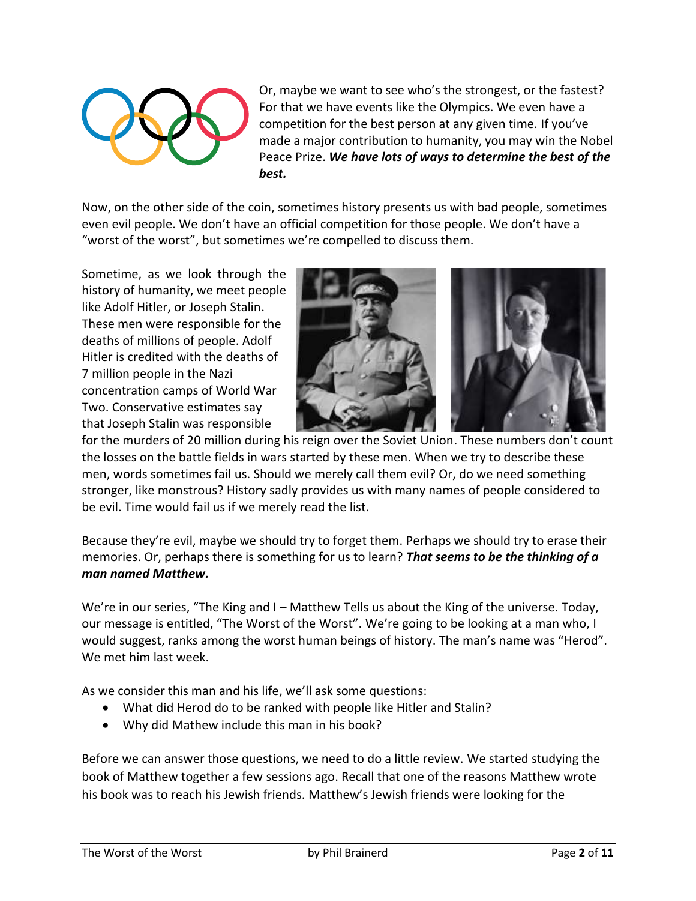

Or, maybe we want to see who's the strongest, or the fastest? For that we have events like the Olympics. We even have a competition for the best person at any given time. If you've made a major contribution to humanity, you may win the Nobel Peace Prize. *We have lots of ways to determine the best of the best.*

Now, on the other side of the coin, sometimes history presents us with bad people, sometimes even evil people. We don't have an official competition for those people. We don't have a "worst of the worst", but sometimes we're compelled to discuss them.

Sometime, as we look through the history of humanity, we meet people like Adolf Hitler, or Joseph Stalin. These men were responsible for the deaths of millions of people. Adolf Hitler is credited with the deaths of 7 million people in the Nazi concentration camps of World War Two. Conservative estimates say that Joseph Stalin was responsible



for the murders of 20 million during his reign over the Soviet Union. These numbers don't count the losses on the battle fields in wars started by these men. When we try to describe these men, words sometimes fail us. Should we merely call them evil? Or, do we need something stronger, like monstrous? History sadly provides us with many names of people considered to be evil. Time would fail us if we merely read the list.

Because they're evil, maybe we should try to forget them. Perhaps we should try to erase their memories. Or, perhaps there is something for us to learn? *That seems to be the thinking of a man named Matthew.*

We're in our series, "The King and I – Matthew Tells us about the King of the universe. Today, our message is entitled, "The Worst of the Worst". We're going to be looking at a man who, I would suggest, ranks among the worst human beings of history. The man's name was "Herod". We met him last week.

As we consider this man and his life, we'll ask some questions:

- What did Herod do to be ranked with people like Hitler and Stalin?
- Why did Mathew include this man in his book?

Before we can answer those questions, we need to do a little review. We started studying the book of Matthew together a few sessions ago. Recall that one of the reasons Matthew wrote his book was to reach his Jewish friends. Matthew's Jewish friends were looking for the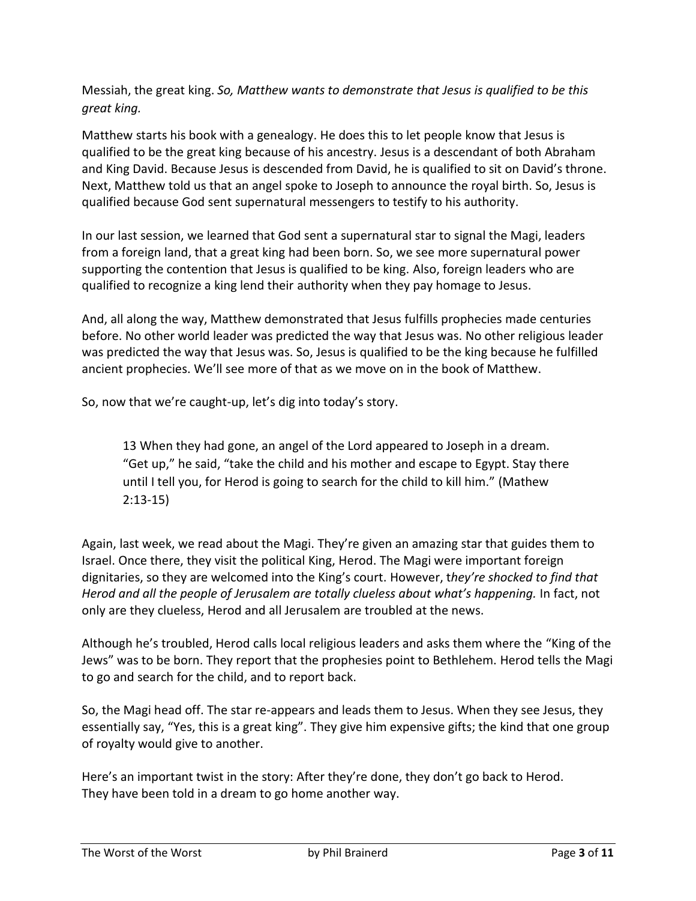Messiah, the great king. *So, Matthew wants to demonstrate that Jesus is qualified to be this great king.*

Matthew starts his book with a genealogy. He does this to let people know that Jesus is qualified to be the great king because of his ancestry. Jesus is a descendant of both Abraham and King David. Because Jesus is descended from David, he is qualified to sit on David's throne. Next, Matthew told us that an angel spoke to Joseph to announce the royal birth. So, Jesus is qualified because God sent supernatural messengers to testify to his authority.

In our last session, we learned that God sent a supernatural star to signal the Magi, leaders from a foreign land, that a great king had been born. So, we see more supernatural power supporting the contention that Jesus is qualified to be king. Also, foreign leaders who are qualified to recognize a king lend their authority when they pay homage to Jesus.

And, all along the way, Matthew demonstrated that Jesus fulfills prophecies made centuries before. No other world leader was predicted the way that Jesus was. No other religious leader was predicted the way that Jesus was. So, Jesus is qualified to be the king because he fulfilled ancient prophecies. We'll see more of that as we move on in the book of Matthew.

So, now that we're caught-up, let's dig into today's story.

13 When they had gone, an angel of the Lord appeared to Joseph in a dream. "Get up," he said, "take the child and his mother and escape to Egypt. Stay there until I tell you, for Herod is going to search for the child to kill him." (Mathew 2:13-15)

Again, last week, we read about the Magi. They're given an amazing star that guides them to Israel. Once there, they visit the political King, Herod. The Magi were important foreign dignitaries, so they are welcomed into the King's court. However, t*hey're shocked to find that Herod and all the people of Jerusalem are totally clueless about what's happening.* In fact, not only are they clueless, Herod and all Jerusalem are troubled at the news.

Although he's troubled, Herod calls local religious leaders and asks them where the "King of the Jews" was to be born. They report that the prophesies point to Bethlehem. Herod tells the Magi to go and search for the child, and to report back.

So, the Magi head off. The star re-appears and leads them to Jesus. When they see Jesus, they essentially say, "Yes, this is a great king". They give him expensive gifts; the kind that one group of royalty would give to another.

Here's an important twist in the story: After they're done, they don't go back to Herod. They have been told in a dream to go home another way.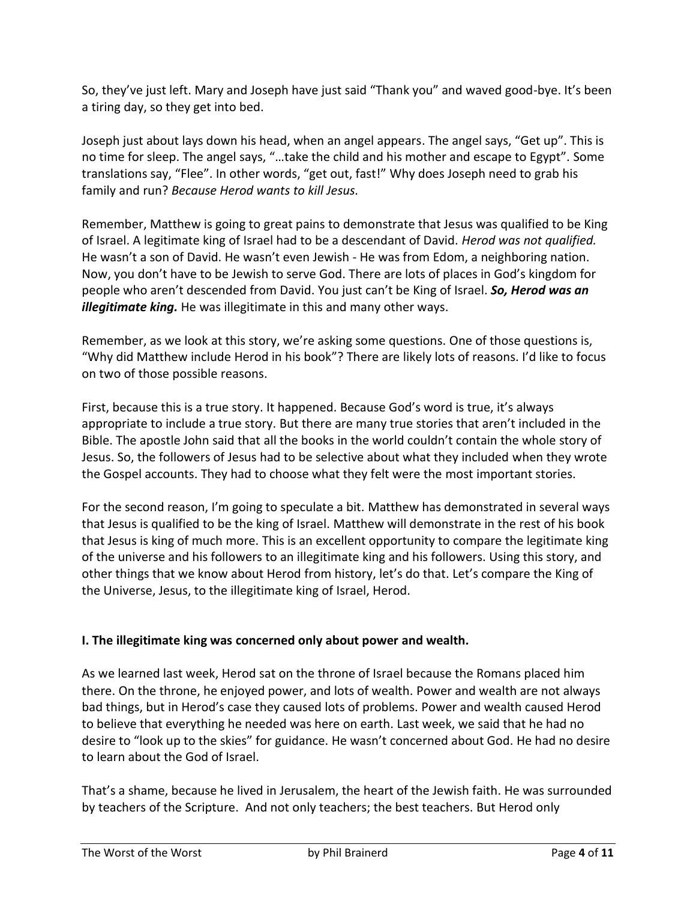So, they've just left. Mary and Joseph have just said "Thank you" and waved good-bye. It's been a tiring day, so they get into bed.

Joseph just about lays down his head, when an angel appears. The angel says, "Get up". This is no time for sleep. The angel says, "…take the child and his mother and escape to Egypt". Some translations say, "Flee". In other words, "get out, fast!" Why does Joseph need to grab his family and run? *Because Herod wants to kill Jesus.*

Remember, Matthew is going to great pains to demonstrate that Jesus was qualified to be King of Israel. A legitimate king of Israel had to be a descendant of David. *Herod was not qualified.* He wasn't a son of David. He wasn't even Jewish - He was from Edom, a neighboring nation. Now, you don't have to be Jewish to serve God. There are lots of places in God's kingdom for people who aren't descended from David. You just can't be King of Israel. *So, Herod was an illegitimate king.* He was illegitimate in this and many other ways.

Remember, as we look at this story, we're asking some questions. One of those questions is, "Why did Matthew include Herod in his book"? There are likely lots of reasons. I'd like to focus on two of those possible reasons.

First, because this is a true story. It happened. Because God's word is true, it's always appropriate to include a true story. But there are many true stories that aren't included in the Bible. The apostle John said that all the books in the world couldn't contain the whole story of Jesus. So, the followers of Jesus had to be selective about what they included when they wrote the Gospel accounts. They had to choose what they felt were the most important stories.

For the second reason, I'm going to speculate a bit. Matthew has demonstrated in several ways that Jesus is qualified to be the king of Israel. Matthew will demonstrate in the rest of his book that Jesus is king of much more. This is an excellent opportunity to compare the legitimate king of the universe and his followers to an illegitimate king and his followers. Using this story, and other things that we know about Herod from history, let's do that. Let's compare the King of the Universe, Jesus, to the illegitimate king of Israel, Herod.

#### **I. The illegitimate king was concerned only about power and wealth.**

As we learned last week, Herod sat on the throne of Israel because the Romans placed him there. On the throne, he enjoyed power, and lots of wealth. Power and wealth are not always bad things, but in Herod's case they caused lots of problems. Power and wealth caused Herod to believe that everything he needed was here on earth. Last week, we said that he had no desire to "look up to the skies" for guidance. He wasn't concerned about God. He had no desire to learn about the God of Israel.

That's a shame, because he lived in Jerusalem, the heart of the Jewish faith. He was surrounded by teachers of the Scripture. And not only teachers; the best teachers. But Herod only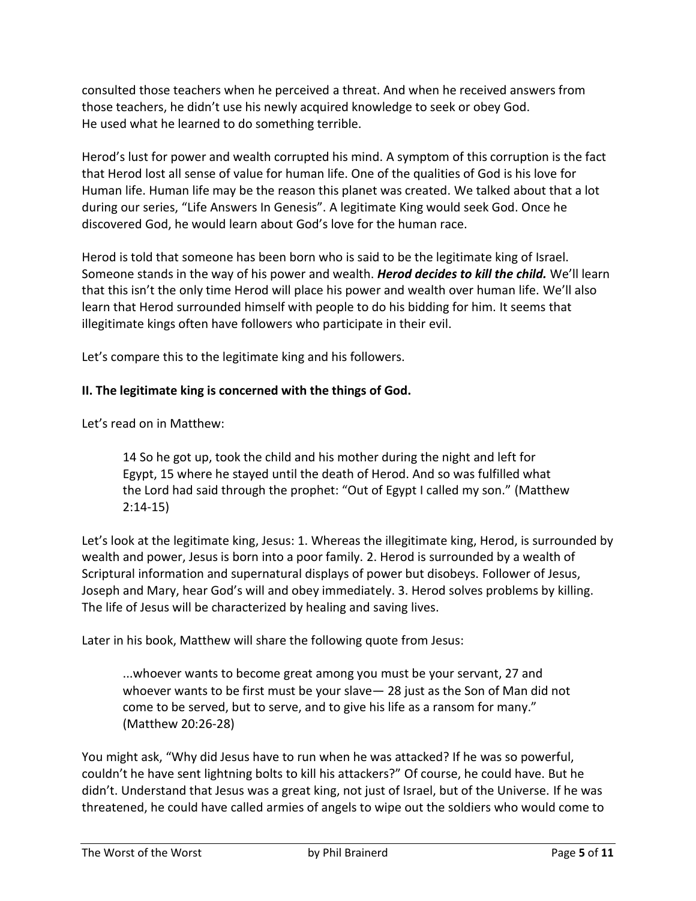consulted those teachers when he perceived a threat. And when he received answers from those teachers, he didn't use his newly acquired knowledge to seek or obey God. He used what he learned to do something terrible.

Herod's lust for power and wealth corrupted his mind. A symptom of this corruption is the fact that Herod lost all sense of value for human life. One of the qualities of God is his love for Human life. Human life may be the reason this planet was created. We talked about that a lot during our series, "Life Answers In Genesis". A legitimate King would seek God. Once he discovered God, he would learn about God's love for the human race.

Herod is told that someone has been born who is said to be the legitimate king of Israel. Someone stands in the way of his power and wealth. *Herod decides to kill the child.* We'll learn that this isn't the only time Herod will place his power and wealth over human life. We'll also learn that Herod surrounded himself with people to do his bidding for him. It seems that illegitimate kings often have followers who participate in their evil.

Let's compare this to the legitimate king and his followers.

## **II. The legitimate king is concerned with the things of God.**

Let's read on in Matthew:

14 So he got up, took the child and his mother during the night and left for Egypt, 15 where he stayed until the death of Herod. And so was fulfilled what the Lord had said through the prophet: "Out of Egypt I called my son." (Matthew 2:14-15)

Let's look at the legitimate king, Jesus: 1. Whereas the illegitimate king, Herod, is surrounded by wealth and power, Jesus is born into a poor family. 2. Herod is surrounded by a wealth of Scriptural information and supernatural displays of power but disobeys. Follower of Jesus, Joseph and Mary, hear God's will and obey immediately. 3. Herod solves problems by killing. The life of Jesus will be characterized by healing and saving lives.

Later in his book, Matthew will share the following quote from Jesus:

...whoever wants to become great among you must be your servant, 27 and whoever wants to be first must be your slave— 28 just as the Son of Man did not come to be served, but to serve, and to give his life as a ransom for many." (Matthew 20:26-28)

You might ask, "Why did Jesus have to run when he was attacked? If he was so powerful, couldn't he have sent lightning bolts to kill his attackers?" Of course, he could have. But he didn't. Understand that Jesus was a great king, not just of Israel, but of the Universe. If he was threatened, he could have called armies of angels to wipe out the soldiers who would come to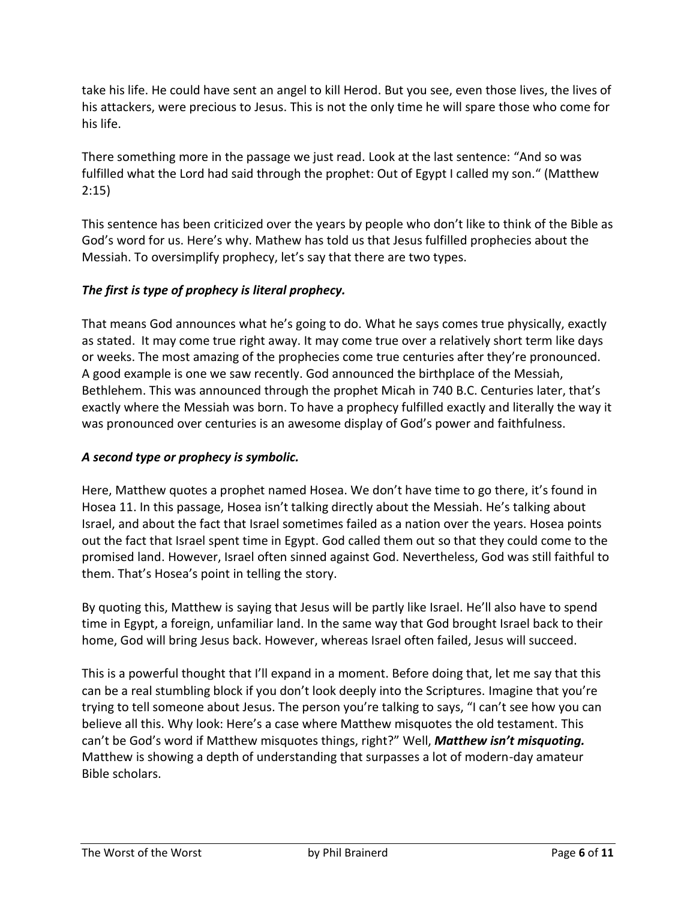take his life. He could have sent an angel to kill Herod. But you see, even those lives, the lives of his attackers, were precious to Jesus. This is not the only time he will spare those who come for his life.

There something more in the passage we just read. Look at the last sentence: "And so was fulfilled what the Lord had said through the prophet: Out of Egypt I called my son." (Matthew 2:15)

This sentence has been criticized over the years by people who don't like to think of the Bible as God's word for us. Here's why. Mathew has told us that Jesus fulfilled prophecies about the Messiah. To oversimplify prophecy, let's say that there are two types.

## *The first is type of prophecy is literal prophecy.*

That means God announces what he's going to do. What he says comes true physically, exactly as stated. It may come true right away. It may come true over a relatively short term like days or weeks. The most amazing of the prophecies come true centuries after they're pronounced. A good example is one we saw recently. God announced the birthplace of the Messiah, Bethlehem. This was announced through the prophet Micah in 740 B.C. Centuries later, that's exactly where the Messiah was born. To have a prophecy fulfilled exactly and literally the way it was pronounced over centuries is an awesome display of God's power and faithfulness.

### *A second type or prophecy is symbolic.*

Here, Matthew quotes a prophet named Hosea. We don't have time to go there, it's found in Hosea 11. In this passage, Hosea isn't talking directly about the Messiah. He's talking about Israel, and about the fact that Israel sometimes failed as a nation over the years. Hosea points out the fact that Israel spent time in Egypt. God called them out so that they could come to the promised land. However, Israel often sinned against God. Nevertheless, God was still faithful to them. That's Hosea's point in telling the story.

By quoting this, Matthew is saying that Jesus will be partly like Israel. He'll also have to spend time in Egypt, a foreign, unfamiliar land. In the same way that God brought Israel back to their home, God will bring Jesus back. However, whereas Israel often failed, Jesus will succeed.

This is a powerful thought that I'll expand in a moment. Before doing that, let me say that this can be a real stumbling block if you don't look deeply into the Scriptures. Imagine that you're trying to tell someone about Jesus. The person you're talking to says, "I can't see how you can believe all this. Why look: Here's a case where Matthew misquotes the old testament. This can't be God's word if Matthew misquotes things, right?" Well, *Matthew isn't misquoting.* Matthew is showing a depth of understanding that surpasses a lot of modern-day amateur Bible scholars.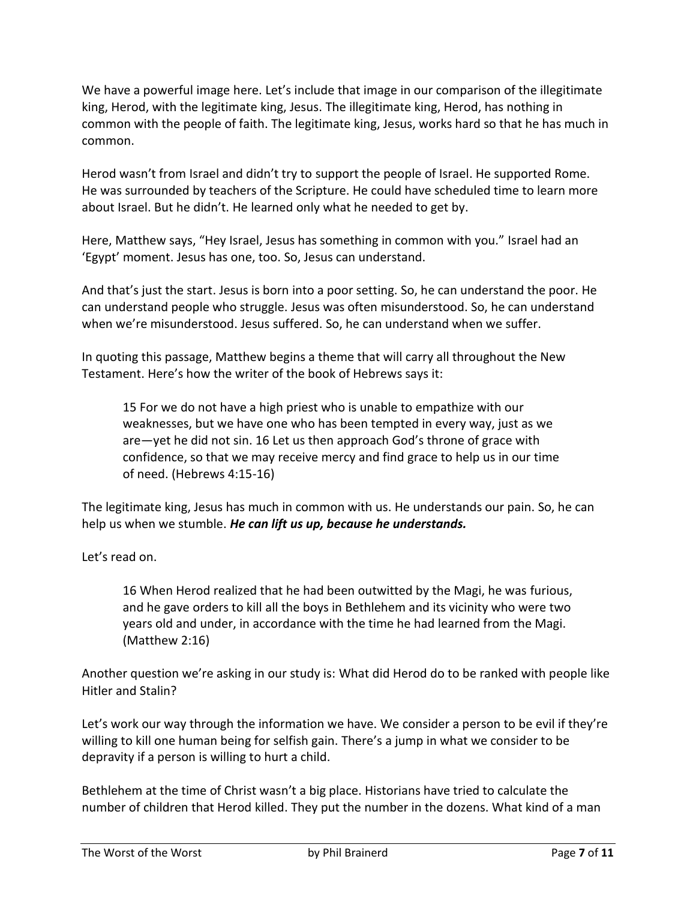We have a powerful image here. Let's include that image in our comparison of the illegitimate king, Herod, with the legitimate king, Jesus. The illegitimate king, Herod, has nothing in common with the people of faith. The legitimate king, Jesus, works hard so that he has much in common.

Herod wasn't from Israel and didn't try to support the people of Israel. He supported Rome. He was surrounded by teachers of the Scripture. He could have scheduled time to learn more about Israel. But he didn't. He learned only what he needed to get by.

Here, Matthew says, "Hey Israel, Jesus has something in common with you." Israel had an 'Egypt' moment. Jesus has one, too. So, Jesus can understand.

And that's just the start. Jesus is born into a poor setting. So, he can understand the poor. He can understand people who struggle. Jesus was often misunderstood. So, he can understand when we're misunderstood. Jesus suffered. So, he can understand when we suffer.

In quoting this passage, Matthew begins a theme that will carry all throughout the New Testament. Here's how the writer of the book of Hebrews says it:

15 For we do not have a high priest who is unable to empathize with our weaknesses, but we have one who has been tempted in every way, just as we are—yet he did not sin. 16 Let us then approach God's throne of grace with confidence, so that we may receive mercy and find grace to help us in our time of need. (Hebrews 4:15-16)

The legitimate king, Jesus has much in common with us. He understands our pain. So, he can help us when we stumble. *He can lift us up, because he understands.*

Let's read on.

16 When Herod realized that he had been outwitted by the Magi, he was furious, and he gave orders to kill all the boys in Bethlehem and its vicinity who were two years old and under, in accordance with the time he had learned from the Magi. (Matthew 2:16)

Another question we're asking in our study is: What did Herod do to be ranked with people like Hitler and Stalin?

Let's work our way through the information we have. We consider a person to be evil if they're willing to kill one human being for selfish gain. There's a jump in what we consider to be depravity if a person is willing to hurt a child.

Bethlehem at the time of Christ wasn't a big place. Historians have tried to calculate the number of children that Herod killed. They put the number in the dozens. What kind of a man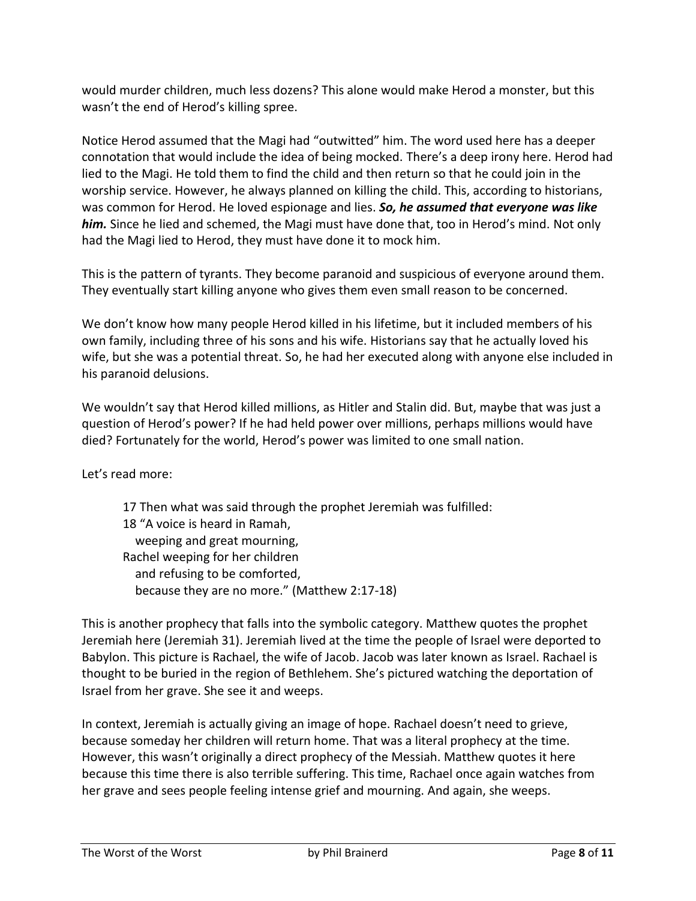would murder children, much less dozens? This alone would make Herod a monster, but this wasn't the end of Herod's killing spree.

Notice Herod assumed that the Magi had "outwitted" him. The word used here has a deeper connotation that would include the idea of being mocked. There's a deep irony here. Herod had lied to the Magi. He told them to find the child and then return so that he could join in the worship service. However, he always planned on killing the child. This, according to historians, was common for Herod. He loved espionage and lies. *So, he assumed that everyone was like him.* Since he lied and schemed, the Magi must have done that, too in Herod's mind. Not only had the Magi lied to Herod, they must have done it to mock him.

This is the pattern of tyrants. They become paranoid and suspicious of everyone around them. They eventually start killing anyone who gives them even small reason to be concerned.

We don't know how many people Herod killed in his lifetime, but it included members of his own family, including three of his sons and his wife. Historians say that he actually loved his wife, but she was a potential threat. So, he had her executed along with anyone else included in his paranoid delusions.

We wouldn't say that Herod killed millions, as Hitler and Stalin did. But, maybe that was just a question of Herod's power? If he had held power over millions, perhaps millions would have died? Fortunately for the world, Herod's power was limited to one small nation.

Let's read more:

17 Then what was said through the prophet Jeremiah was fulfilled: 18 "A voice is heard in Ramah, weeping and great mourning, Rachel weeping for her children and refusing to be comforted, because they are no more." (Matthew 2:17-18)

This is another prophecy that falls into the symbolic category. Matthew quotes the prophet Jeremiah here (Jeremiah 31). Jeremiah lived at the time the people of Israel were deported to Babylon. This picture is Rachael, the wife of Jacob. Jacob was later known as Israel. Rachael is thought to be buried in the region of Bethlehem. She's pictured watching the deportation of Israel from her grave. She see it and weeps.

In context, Jeremiah is actually giving an image of hope. Rachael doesn't need to grieve, because someday her children will return home. That was a literal prophecy at the time. However, this wasn't originally a direct prophecy of the Messiah. Matthew quotes it here because this time there is also terrible suffering. This time, Rachael once again watches from her grave and sees people feeling intense grief and mourning. And again, she weeps.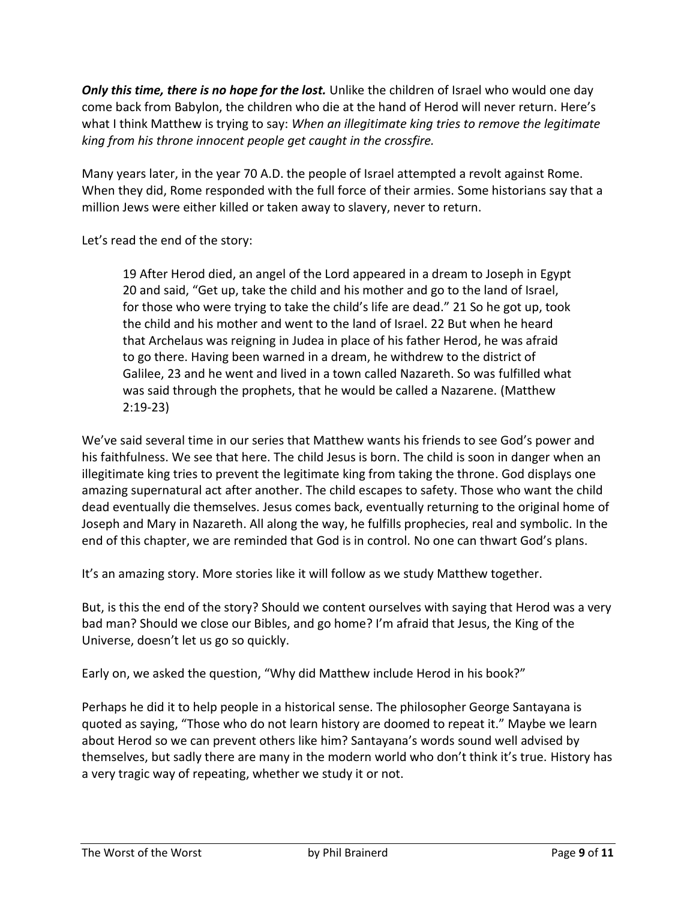*Only this time, there is no hope for the lost.* Unlike the children of Israel who would one day come back from Babylon, the children who die at the hand of Herod will never return. Here's what I think Matthew is trying to say: *When an illegitimate king tries to remove the legitimate king from his throne innocent people get caught in the crossfire.*

Many years later, in the year 70 A.D. the people of Israel attempted a revolt against Rome. When they did, Rome responded with the full force of their armies. Some historians say that a million Jews were either killed or taken away to slavery, never to return.

Let's read the end of the story:

19 After Herod died, an angel of the Lord appeared in a dream to Joseph in Egypt 20 and said, "Get up, take the child and his mother and go to the land of Israel, for those who were trying to take the child's life are dead." 21 So he got up, took the child and his mother and went to the land of Israel. 22 But when he heard that Archelaus was reigning in Judea in place of his father Herod, he was afraid to go there. Having been warned in a dream, he withdrew to the district of Galilee, 23 and he went and lived in a town called Nazareth. So was fulfilled what was said through the prophets, that he would be called a Nazarene. (Matthew 2:19-23)

We've said several time in our series that Matthew wants his friends to see God's power and his faithfulness. We see that here. The child Jesus is born. The child is soon in danger when an illegitimate king tries to prevent the legitimate king from taking the throne. God displays one amazing supernatural act after another. The child escapes to safety. Those who want the child dead eventually die themselves. Jesus comes back, eventually returning to the original home of Joseph and Mary in Nazareth. All along the way, he fulfills prophecies, real and symbolic. In the end of this chapter, we are reminded that God is in control. No one can thwart God's plans.

It's an amazing story. More stories like it will follow as we study Matthew together.

But, is this the end of the story? Should we content ourselves with saying that Herod was a very bad man? Should we close our Bibles, and go home? I'm afraid that Jesus, the King of the Universe, doesn't let us go so quickly.

Early on, we asked the question, "Why did Matthew include Herod in his book?"

Perhaps he did it to help people in a historical sense. The philosopher George Santayana is quoted as saying, "Those who do not learn history are doomed to repeat it." Maybe we learn about Herod so we can prevent others like him? Santayana's words sound well advised by themselves, but sadly there are many in the modern world who don't think it's true. History has a very tragic way of repeating, whether we study it or not.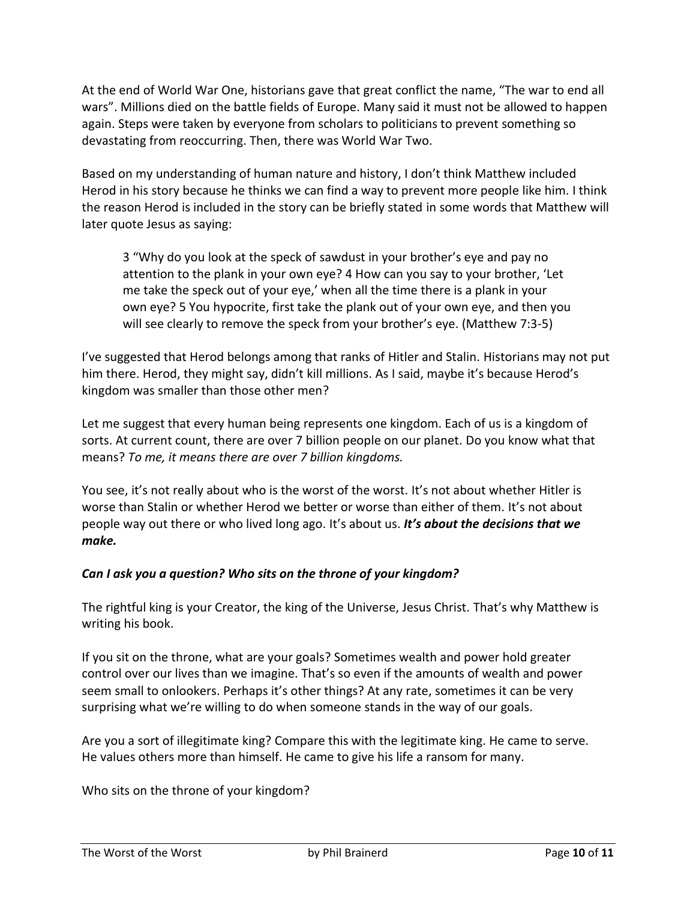At the end of World War One, historians gave that great conflict the name, "The war to end all wars". Millions died on the battle fields of Europe. Many said it must not be allowed to happen again. Steps were taken by everyone from scholars to politicians to prevent something so devastating from reoccurring. Then, there was World War Two.

Based on my understanding of human nature and history, I don't think Matthew included Herod in his story because he thinks we can find a way to prevent more people like him. I think the reason Herod is included in the story can be briefly stated in some words that Matthew will later quote Jesus as saying:

3 "Why do you look at the speck of sawdust in your brother's eye and pay no attention to the plank in your own eye? 4 How can you say to your brother, 'Let me take the speck out of your eye,' when all the time there is a plank in your own eye? 5 You hypocrite, first take the plank out of your own eye, and then you will see clearly to remove the speck from your brother's eye. (Matthew 7:3-5)

I've suggested that Herod belongs among that ranks of Hitler and Stalin. Historians may not put him there. Herod, they might say, didn't kill millions. As I said, maybe it's because Herod's kingdom was smaller than those other men?

Let me suggest that every human being represents one kingdom. Each of us is a kingdom of sorts. At current count, there are over 7 billion people on our planet. Do you know what that means? *To me, it means there are over 7 billion kingdoms.*

You see, it's not really about who is the worst of the worst. It's not about whether Hitler is worse than Stalin or whether Herod we better or worse than either of them. It's not about people way out there or who lived long ago. It's about us. *It's about the decisions that we make.*

#### *Can I ask you a question? Who sits on the throne of your kingdom?*

The rightful king is your Creator, the king of the Universe, Jesus Christ. That's why Matthew is writing his book.

If you sit on the throne, what are your goals? Sometimes wealth and power hold greater control over our lives than we imagine. That's so even if the amounts of wealth and power seem small to onlookers. Perhaps it's other things? At any rate, sometimes it can be very surprising what we're willing to do when someone stands in the way of our goals.

Are you a sort of illegitimate king? Compare this with the legitimate king. He came to serve. He values others more than himself. He came to give his life a ransom for many.

Who sits on the throne of your kingdom?